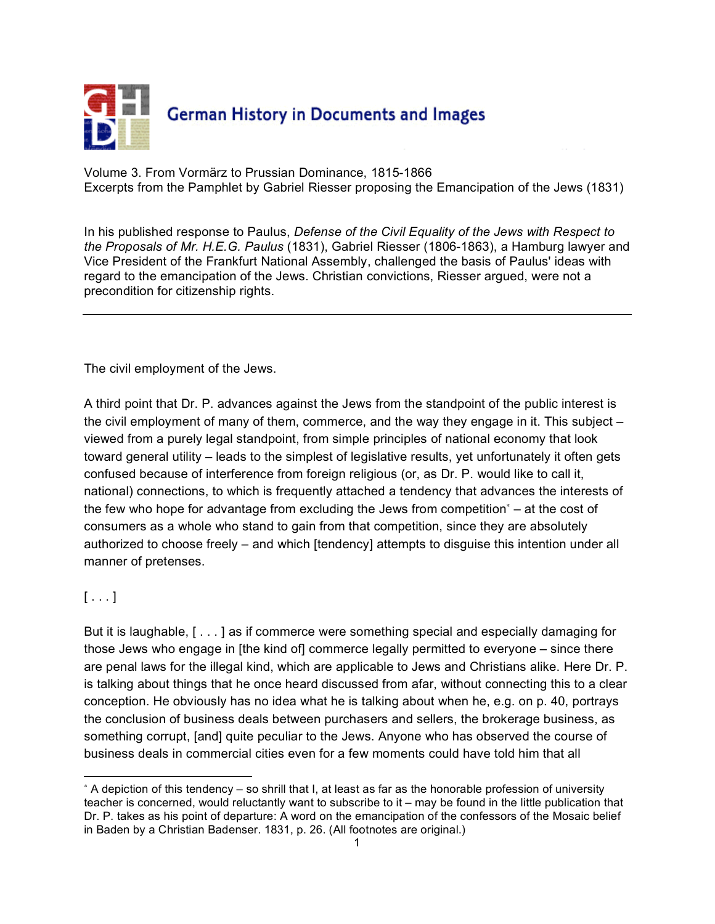

Volume 3. From Vormärz to Prussian Dominance, 1815-1866 Excerpts from the Pamphlet by Gabriel Riesser proposing the Emancipation of the Jews (1831)

In his published response to Paulus, *Defense of the Civil Equality of the Jews with Respect to the Proposals of Mr. H.E.G. Paulus* (1831), Gabriel Riesser (1806-1863), a Hamburg lawyer and Vice President of the Frankfurt National Assembly, challenged the basis of Paulus' ideas with regard to the emancipation of the Jews. Christian convictions, Riesser argued, were not a precondition for citizenship rights.

The civil employment of the Jews.

A third point that Dr. P. advances against the Jews from the standpoint of the public interest is the civil employment of many of them, commerce, and the way they engage in it. This subject – viewed from a purely legal standpoint, from simple principles of national economy that look toward general utility – leads to the simplest of legislative results, yet unfortunately it often gets confused because of interference from foreign religious (or, as Dr. P. would like to call it, national) connections, to which is frequently attached a tendency that advances the interests of the few who hope for advantage from excluding the Jews from competition<sup>∗</sup> – at the cost of consumers as a whole who stand to gain from that competition, since they are absolutely authorized to choose freely – and which [tendency] attempts to disguise this intention under all manner of pretenses.

# $[ \ldots ]$

 $\overline{\phantom{a}}$ 

But it is laughable, [ . . . ] as if commerce were something special and especially damaging for those Jews who engage in [the kind of] commerce legally permitted to everyone – since there are penal laws for the illegal kind, which are applicable to Jews and Christians alike. Here Dr. P. is talking about things that he once heard discussed from afar, without connecting this to a clear conception. He obviously has no idea what he is talking about when he, e.g. on p. 40, portrays the conclusion of business deals between purchasers and sellers, the brokerage business, as something corrupt, [and] quite peculiar to the Jews. Anyone who has observed the course of business deals in commercial cities even for a few moments could have told him that all

<sup>∗</sup> A depiction of this tendency – so shrill that I, at least as far as the honorable profession of university teacher is concerned, would reluctantly want to subscribe to it – may be found in the little publication that Dr. P. takes as his point of departure: A word on the emancipation of the confessors of the Mosaic belief in Baden by a Christian Badenser. 1831, p. 26. (All footnotes are original.)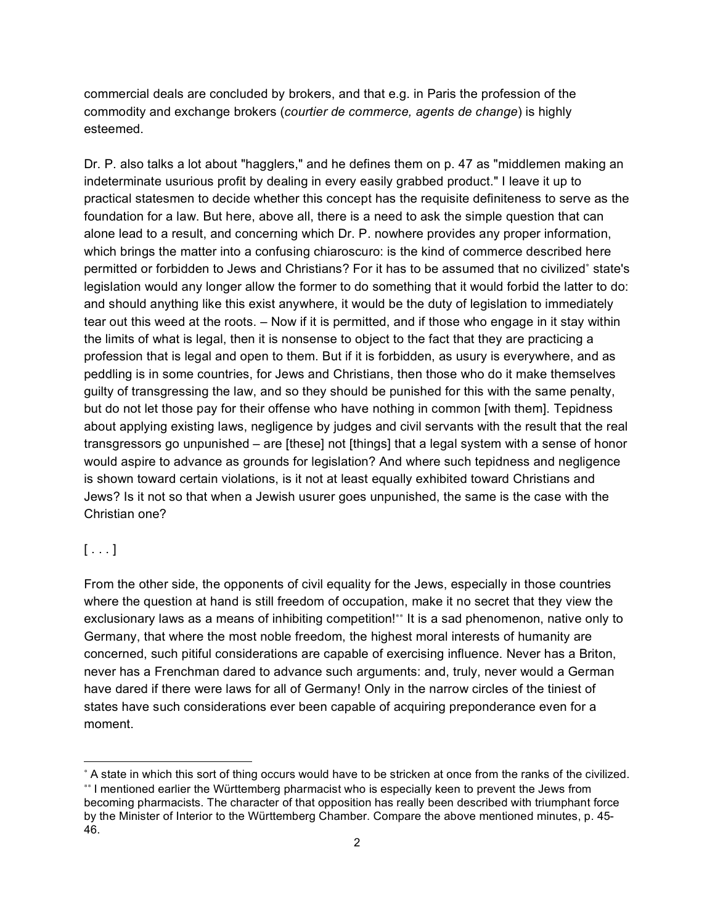commercial deals are concluded by brokers, and that e.g. in Paris the profession of the commodity and exchange brokers (*courtier de commerce, agents de change*) is highly esteemed.

Dr. P. also talks a lot about "hagglers," and he defines them on p. 47 as "middlemen making an indeterminate usurious profit by dealing in every easily grabbed product." I leave it up to practical statesmen to decide whether this concept has the requisite definiteness to serve as the foundation for a law. But here, above all, there is a need to ask the simple question that can alone lead to a result, and concerning which Dr. P. nowhere provides any proper information, which brings the matter into a confusing chiaroscuro: is the kind of commerce described here permitted or forbidden to Jews and Christians? For it has to be assumed that no civilized<sup>∗</sup> state's legislation would any longer allow the former to do something that it would forbid the latter to do: and should anything like this exist anywhere, it would be the duty of legislation to immediately tear out this weed at the roots. – Now if it is permitted, and if those who engage in it stay within the limits of what is legal, then it is nonsense to object to the fact that they are practicing a profession that is legal and open to them. But if it is forbidden, as usury is everywhere, and as peddling is in some countries, for Jews and Christians, then those who do it make themselves guilty of transgressing the law, and so they should be punished for this with the same penalty, but do not let those pay for their offense who have nothing in common [with them]. Tepidness about applying existing laws, negligence by judges and civil servants with the result that the real transgressors go unpunished – are [these] not [things] that a legal system with a sense of honor would aspire to advance as grounds for legislation? And where such tepidness and negligence is shown toward certain violations, is it not at least equally exhibited toward Christians and Jews? Is it not so that when a Jewish usurer goes unpunished, the same is the case with the Christian one?

#### $[...]$

 $\overline{a}$ 

From the other side, the opponents of civil equality for the Jews, especially in those countries where the question at hand is still freedom of occupation, make it no secret that they view the exclusionary laws as a means of inhibiting competition!\*\* It is a sad phenomenon, native only to Germany, that where the most noble freedom, the highest moral interests of humanity are concerned, such pitiful considerations are capable of exercising influence. Never has a Briton, never has a Frenchman dared to advance such arguments: and, truly, never would a German have dared if there were laws for all of Germany! Only in the narrow circles of the tiniest of states have such considerations ever been capable of acquiring preponderance even for a moment.

<sup>∗</sup> A state in which this sort of thing occurs would have to be stricken at once from the ranks of the civilized. ∗∗ I mentioned earlier the Württemberg pharmacist who is especially keen to prevent the Jews from becoming pharmacists. The character of that opposition has really been described with triumphant force by the Minister of Interior to the Württemberg Chamber. Compare the above mentioned minutes, p. 45- 46.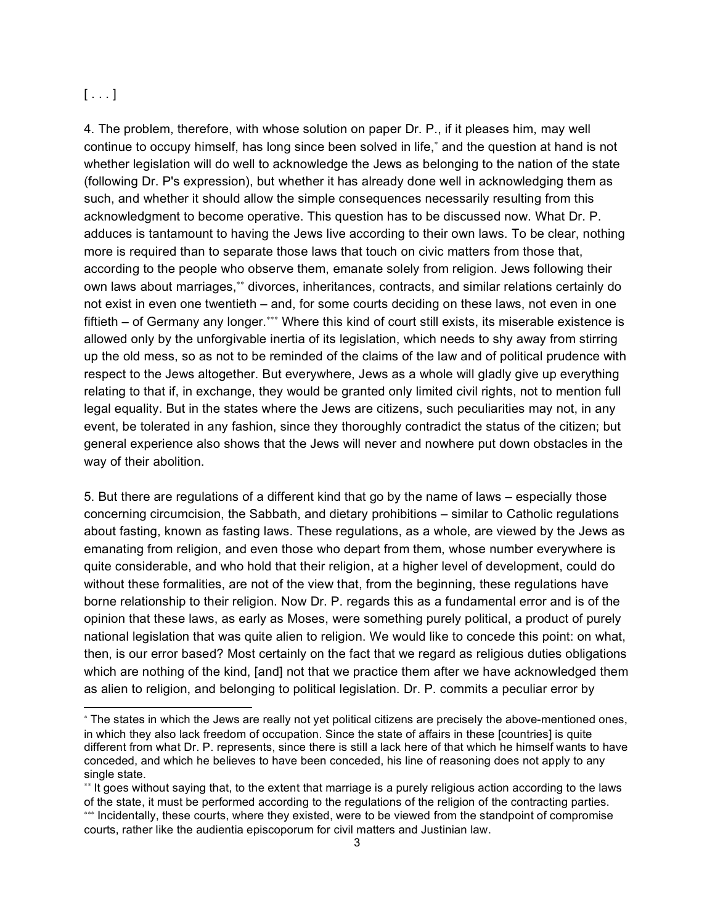## $[ \ldots ]$

 $\overline{\phantom{a}}$ 

4. The problem, therefore, with whose solution on paper Dr. P., if it pleases him, may well continue to occupy himself, has long since been solved in life,<sup>∗</sup> and the question at hand is not whether legislation will do well to acknowledge the Jews as belonging to the nation of the state (following Dr. P's expression), but whether it has already done well in acknowledging them as such, and whether it should allow the simple consequences necessarily resulting from this acknowledgment to become operative. This question has to be discussed now. What Dr. P. adduces is tantamount to having the Jews live according to their own laws. To be clear, nothing more is required than to separate those laws that touch on civic matters from those that, according to the people who observe them, emanate solely from religion. Jews following their own laws about marriages,\*\* divorces, inheritances, contracts, and similar relations certainly do not exist in even one twentieth – and, for some courts deciding on these laws, not even in one fiftieth – of Germany any longer.<sup>∗</sup> \*\* Where this kind of court still exists, its miserable existence is allowed only by the unforgivable inertia of its legislation, which needs to shy away from stirring up the old mess, so as not to be reminded of the claims of the law and of political prudence with respect to the Jews altogether. But everywhere, Jews as a whole will gladly give up everything relating to that if, in exchange, they would be granted only limited civil rights, not to mention full legal equality. But in the states where the Jews are citizens, such peculiarities may not, in any event, be tolerated in any fashion, since they thoroughly contradict the status of the citizen; but general experience also shows that the Jews will never and nowhere put down obstacles in the way of their abolition.

5. But there are regulations of a different kind that go by the name of laws – especially those concerning circumcision, the Sabbath, and dietary prohibitions – similar to Catholic regulations about fasting, known as fasting laws. These regulations, as a whole, are viewed by the Jews as emanating from religion, and even those who depart from them, whose number everywhere is quite considerable, and who hold that their religion, at a higher level of development, could do without these formalities, are not of the view that, from the beginning, these regulations have borne relationship to their religion. Now Dr. P. regards this as a fundamental error and is of the opinion that these laws, as early as Moses, were something purely political, a product of purely national legislation that was quite alien to religion. We would like to concede this point: on what, then, is our error based? Most certainly on the fact that we regard as religious duties obligations which are nothing of the kind, [and] not that we practice them after we have acknowledged them as alien to religion, and belonging to political legislation. Dr. P. commits a peculiar error by

<sup>∗</sup> The states in which the Jews are really not yet political citizens are precisely the above-mentioned ones, in which they also lack freedom of occupation. Since the state of affairs in these [countries] is quite different from what Dr. P. represents, since there is still a lack here of that which he himself wants to have conceded, and which he believes to have been conceded, his line of reasoning does not apply to any single state.

<sup>∗∗</sup> It goes without saying that, to the extent that marriage is a purely religious action according to the laws of the state, it must be performed according to the regulations of the religion of the contracting parties. ∗∗∗ Incidentally, these courts, where they existed, were to be viewed from the standpoint of compromise

courts, rather like the audientia episcoporum for civil matters and Justinian law.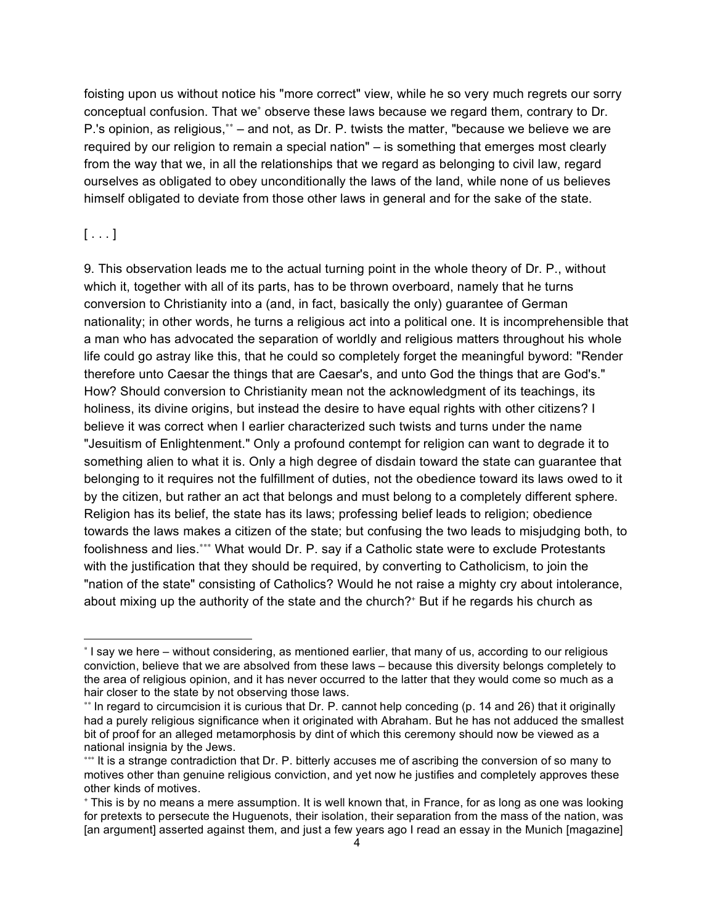foisting upon us without notice his "more correct" view, while he so very much regrets our sorry conceptual confusion. That we<sup>∗</sup> observe these laws because we regard them, contrary to Dr. P.'s opinion, as religious,\*\* – and not, as Dr. P. twists the matter, "because we believe we are required by our religion to remain a special nation" – is something that emerges most clearly from the way that we, in all the relationships that we regard as belonging to civil law, regard ourselves as obligated to obey unconditionally the laws of the land, while none of us believes himself obligated to deviate from those other laws in general and for the sake of the state.

### $[ . . . 1]$

 $\overline{a}$ 

9. This observation leads me to the actual turning point in the whole theory of Dr. P., without which it, together with all of its parts, has to be thrown overboard, namely that he turns conversion to Christianity into a (and, in fact, basically the only) guarantee of German nationality; in other words, he turns a religious act into a political one. It is incomprehensible that a man who has advocated the separation of worldly and religious matters throughout his whole life could go astray like this, that he could so completely forget the meaningful byword: "Render therefore unto Caesar the things that are Caesar's, and unto God the things that are God's." How? Should conversion to Christianity mean not the acknowledgment of its teachings, its holiness, its divine origins, but instead the desire to have equal rights with other citizens? I believe it was correct when I earlier characterized such twists and turns under the name "Jesuitism of Enlightenment." Only a profound contempt for religion can want to degrade it to something alien to what it is. Only a high degree of disdain toward the state can guarantee that belonging to it requires not the fulfillment of duties, not the obedience toward its laws owed to it by the citizen, but rather an act that belongs and must belong to a completely different sphere. Religion has its belief, the state has its laws; professing belief leads to religion; obedience towards the laws makes a citizen of the state; but confusing the two leads to misjudging both, to foolishness and lies.<sup>∗∗∗</sup> What would Dr. P. say if a Catholic state were to exclude Protestants with the justification that they should be required, by converting to Catholicism, to join the "nation of the state" consisting of Catholics? Would he not raise a mighty cry about intolerance, about mixing up the authority of the state and the church?<sup>+</sup> But if he regards his church as

<sup>∗</sup> I say we here – without considering, as mentioned earlier, that many of us, according to our religious conviction, believe that we are absolved from these laws – because this diversity belongs completely to the area of religious opinion, and it has never occurred to the latter that they would come so much as a hair closer to the state by not observing those laws.

<sup>∗∗</sup> In regard to circumcision it is curious that Dr. P. cannot help conceding (p. 14 and 26) that it originally had a purely religious significance when it originated with Abraham. But he has not adduced the smallest bit of proof for an alleged metamorphosis by dint of which this ceremony should now be viewed as a national insignia by the Jews.

<sup>∗∗∗</sup> It is a strange contradiction that Dr. P. bitterly accuses me of ascribing the conversion of so many to motives other than genuine religious conviction, and yet now he justifies and completely approves these other kinds of motives.

<sup>+</sup> This is by no means a mere assumption. It is well known that, in France, for as long as one was looking for pretexts to persecute the Huguenots, their isolation, their separation from the mass of the nation, was [an argument] asserted against them, and just a few years ago I read an essay in the Munich [magazine]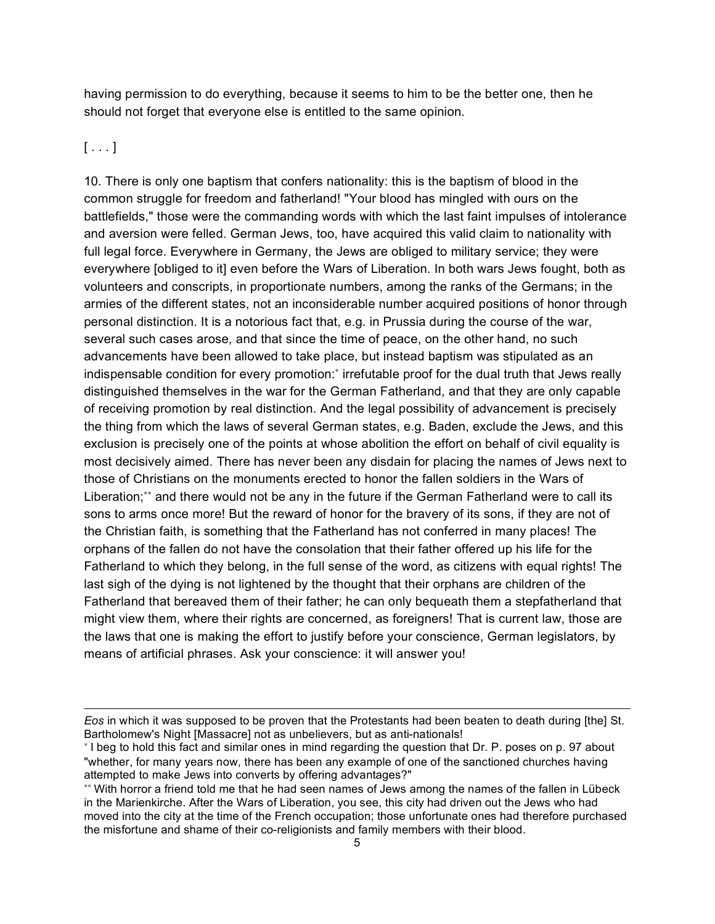having permission to do everything, because it seems to him to be the better one, then he should not forget that everyone else is entitled to the same opinion.

#### $[...]$

 $\overline{a}$ 

10. There is only one baptism that confers nationality: this is the baptism of blood in the common struggle for freedom and fatherland! "Your blood has mingled with ours on the battlefields," those were the commanding words with which the last faint impulses of intolerance and aversion were felled. German Jews, too, have acquired this valid claim to nationality with full legal force. Everywhere in Germany, the Jews are obliged to military service; they were everywhere [obliged to it] even before the Wars of Liberation. In both wars Jews fought, both as volunteers and conscripts, in proportionate numbers, among the ranks of the Germans; in the armies of the different states, not an inconsiderable number acquired positions of honor through personal distinction. It is a notorious fact that, e.g. in Prussia during the course of the war, several such cases arose, and that since the time of peace, on the other hand, no such advancements have been allowed to take place, but instead baptism was stipulated as an indispensable condition for every promotion:<sup>∗</sup> irrefutable proof for the dual truth that Jews really distinguished themselves in the war for the German Fatherland, and that they are only capable of receiving promotion by real distinction. And the legal possibility of advancement is precisely the thing from which the laws of several German states, e.g. Baden, exclude the Jews, and this exclusion is precisely one of the points at whose abolition the effort on behalf of civil equality is most decisively aimed. There has never been any disdain for placing the names of Jews next to those of Christians on the monuments erected to honor the fallen soldiers in the Wars of Liberation;<sup>∗</sup>\* and there would not be any in the future if the German Fatherland were to call its sons to arms once more! But the reward of honor for the bravery of its sons, if they are not of the Christian faith, is something that the Fatherland has not conferred in many places! The orphans of the fallen do not have the consolation that their father offered up his life for the Fatherland to which they belong, in the full sense of the word, as citizens with equal rights! The last sigh of the dying is not lightened by the thought that their orphans are children of the Fatherland that bereaved them of their father; he can only bequeath them a stepfatherland that might view them, where their rights are concerned, as foreigners! That is current law, those are the laws that one is making the effort to justify before your conscience, German legislators, by means of artificial phrases. Ask your conscience: it will answer you!

*Eos* in which it was supposed to be proven that the Protestants had been beaten to death during [the] St. Bartholomew's Night [Massacre] not as unbelievers, but as anti-nationals!

<sup>∗</sup> I beg to hold this fact and similar ones in mind regarding the question that Dr. P. poses on p. 97 about "whether, for many years now, there has been any example of one of the sanctioned churches having attempted to make Jews into converts by offering advantages?"

<sup>∗∗</sup> With horror a friend told me that he had seen names of Jews among the names of the fallen in Lübeck in the Marienkirche. After the Wars of Liberation, you see, this city had driven out the Jews who had moved into the city at the time of the French occupation; those unfortunate ones had therefore purchased the misfortune and shame of their co-religionists and family members with their blood.